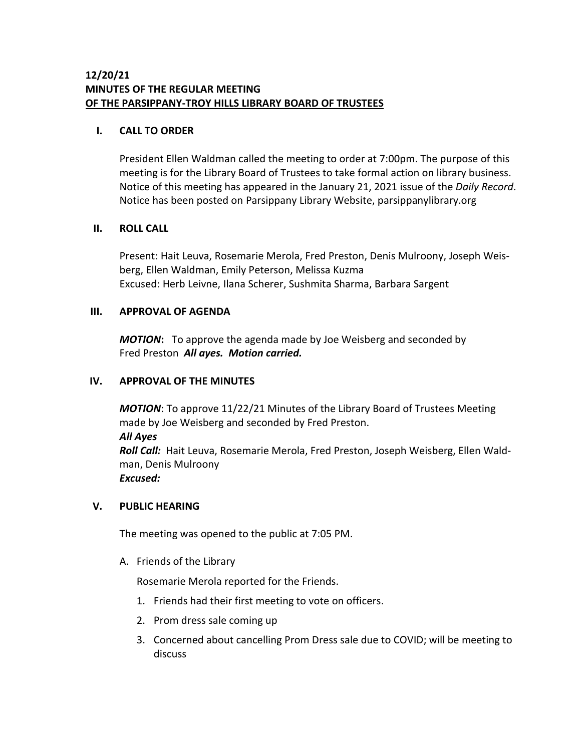# **I. CALL TO ORDER**

President Ellen Waldman called the meeting to order at 7:00pm. The purpose of this meeting is for the Library Board of Trustees to take formal action on library business. Notice of this meeting has appeared in the January 21, 2021 issue of the *Daily Record*. Notice has been posted on Parsippany Library Website, parsippanylibrary.org

## **II. ROLL CALL**

Present: Hait Leuva, Rosemarie Merola, Fred Preston, Denis Mulroony, Joseph Weisberg, Ellen Waldman, Emily Peterson, Melissa Kuzma Excused: Herb Leivne, Ilana Scherer, Sushmita Sharma, Barbara Sargent

## **III. APPROVAL OF AGENDA**

*MOTION***:** To approve the agenda made by Joe Weisberg and seconded by Fred Preston *All ayes. Motion carried.*

## **IV. APPROVAL OF THE MINUTES**

*MOTION*: To approve 11/22/21 Minutes of the Library Board of Trustees Meeting made by Joe Weisberg and seconded by Fred Preston. *All Ayes Roll Call:* Hait Leuva, Rosemarie Merola, Fred Preston, Joseph Weisberg, Ellen Waldman, Denis Mulroony *Excused:*

#### **V. PUBLIC HEARING**

The meeting was opened to the public at 7:05 PM.

A. Friends of the Library

Rosemarie Merola reported for the Friends.

- 1. Friends had their first meeting to vote on officers.
- 2. Prom dress sale coming up
- 3. Concerned about cancelling Prom Dress sale due to COVID; will be meeting to discuss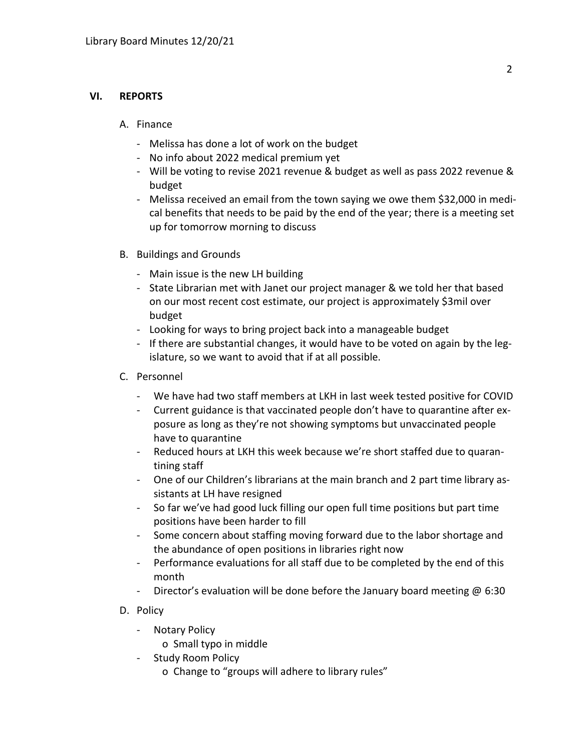# **VI. REPORTS**

# A. Finance

- Melissa has done a lot of work on the budget
- No info about 2022 medical premium yet
- Will be voting to revise 2021 revenue & budget as well as pass 2022 revenue & budget
- Melissa received an email from the town saying we owe them \$32,000 in medical benefits that needs to be paid by the end of the year; there is a meeting set up for tomorrow morning to discuss
- B. Buildings and Grounds
	- Main issue is the new LH building
	- State Librarian met with Janet our project manager & we told her that based on our most recent cost estimate, our project is approximately \$3mil over budget
	- Looking for ways to bring project back into a manageable budget
	- If there are substantial changes, it would have to be voted on again by the legislature, so we want to avoid that if at all possible.
- C. Personnel
	- We have had two staff members at LKH in last week tested positive for COVID
	- Current guidance is that vaccinated people don't have to quarantine after exposure as long as they're not showing symptoms but unvaccinated people have to quarantine
	- Reduced hours at LKH this week because we're short staffed due to quarantining staff
	- One of our Children's librarians at the main branch and 2 part time library assistants at LH have resigned
	- So far we've had good luck filling our open full time positions but part time positions have been harder to fill
	- Some concern about staffing moving forward due to the labor shortage and the abundance of open positions in libraries right now
	- Performance evaluations for all staff due to be completed by the end of this month
	- Director's evaluation will be done before the January board meeting  $\omega$  6:30
- D. Policy
	- Notary Policy
		- o Small typo in middle
	- Study Room Policy
		- o Change to "groups will adhere to library rules"